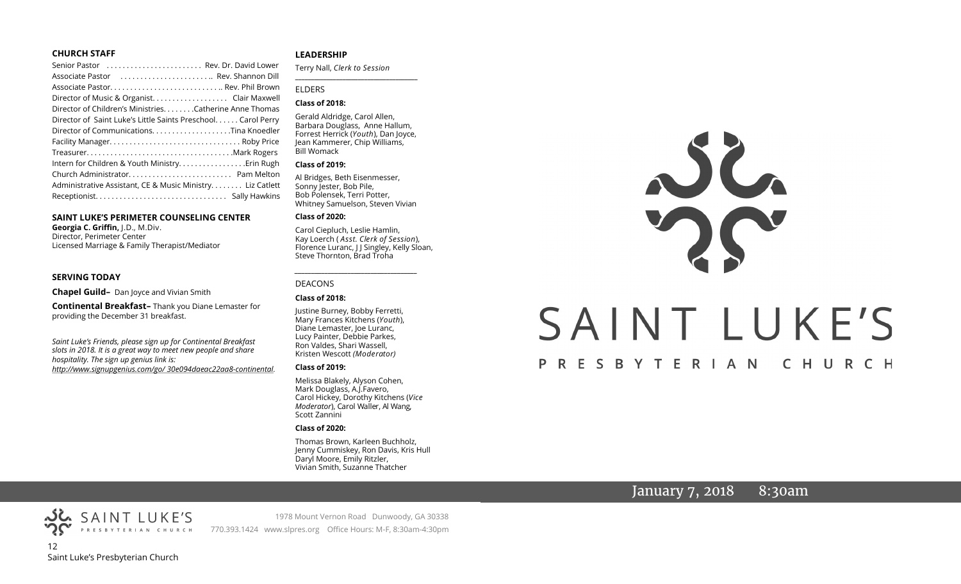### **CHURCH STAFF**

| Senior Pastor  Rev. Dr. David Lower                          |  |
|--------------------------------------------------------------|--|
| Associate Pastor  Rev. Shannon Dill                          |  |
|                                                              |  |
| Director of Music & Organist. Clair Maxwell                  |  |
| Director of Children's Ministries. Catherine Anne Thomas     |  |
| Director of Saint Luke's Little Saints Preschool Carol Perry |  |
| Director of CommunicationsTina Knoedler                      |  |
|                                                              |  |
|                                                              |  |
| Intern for Children & Youth MinistryErin Rugh                |  |
|                                                              |  |
| Administrative Assistant, CE & Music Ministry Liz Catlett    |  |
|                                                              |  |
|                                                              |  |

### **SAINT LUKE'S PERIMETER COUNSELING CENTER**

**Georgia C. Griffin,** J.D., M.Div. Director, Perimeter Center Licensed Marriage & Family Therapist/Mediator

### **SERVING TODAY**

**Chapel Guild–** Dan Joyce and Vivian Smith

**Continental Breakfast–** Thank you Diane Lemaster for providing the December 31 breakfast.

*Saint Luke's Friends, please sign up for Continental Breakfast slots in 2018. It is a great way to meet new people and share hospitality. The sign up genius link is: <http://www.signupgenius.com/go/> 30e094daeac22aa8-continental.*

### **LEADERSHIP**

Terry Nall, *Clerk to Session* 

**\_\_\_\_\_\_\_\_\_\_\_\_\_\_\_\_\_\_\_\_\_\_\_\_\_\_\_\_\_\_\_\_\_\_\_\_\_\_\_**

### ELDERS

### **Class of 2018:**

Gerald Aldridge, Carol Allen, Barbara Douglass, Anne Hallum, Forrest Herrick (*Youth*), Dan Joyce, Jean Kammerer, Chip Williams, Bill Womack

### **Class of 2019:**

Al Bridges, Beth Eisenmesser, Sonny Jester, Bob Pile, Bob Polensek, Terri Potter, Whitney Samuelson, Steven Vivian

### **Class of 2020:**

Carol Ciepluch, Leslie Hamlin, Kay Loerch ( *Asst. Clerk of Session*), Florence Luranc, J J Singley, Kelly Sloan, Steve Thornton, Brad Troha

*\_\_\_\_\_\_\_\_\_\_\_\_\_\_\_\_\_\_\_\_\_\_\_\_\_\_\_\_\_\_\_\_\_\_\_\_\_*

### DEACONS

### **Class of 2018:**

Justine Burney, Bobby Ferretti, Mary Frances Kitchens (*Youth*), Diane Lemaster, Joe Luranc, Lucy Painter, Debbie Parkes, Ron Valdes, Shari Wassell, Kristen Wescott *(Moderator)*

### **Class of 2019:**

Melissa Blakely, Alyson Cohen, Mark Douglass, A.J.Favero, Carol Hickey, Dorothy Kitchens (*Vice Moderator*), Carol Waller, Al Wang, Scott Zannini

### **Class of 2020:**

Thomas Brown, Karleen Buchholz, Jenny Cummiskey, Ron Davis, Kris Hull Daryl Moore, Emily Ritzler, Vivian Smith, Suzanne Thatcher



# PRESBYTERIAN CHURCH

# January 7, 2018 8:30am



1978 Mount Vernon Road Dunwoody, GA 30338 PRESBYTERIAN CHURCH 770.393.1424 www.slpres.org Office Hours: M-F, 8:30am-4:30pm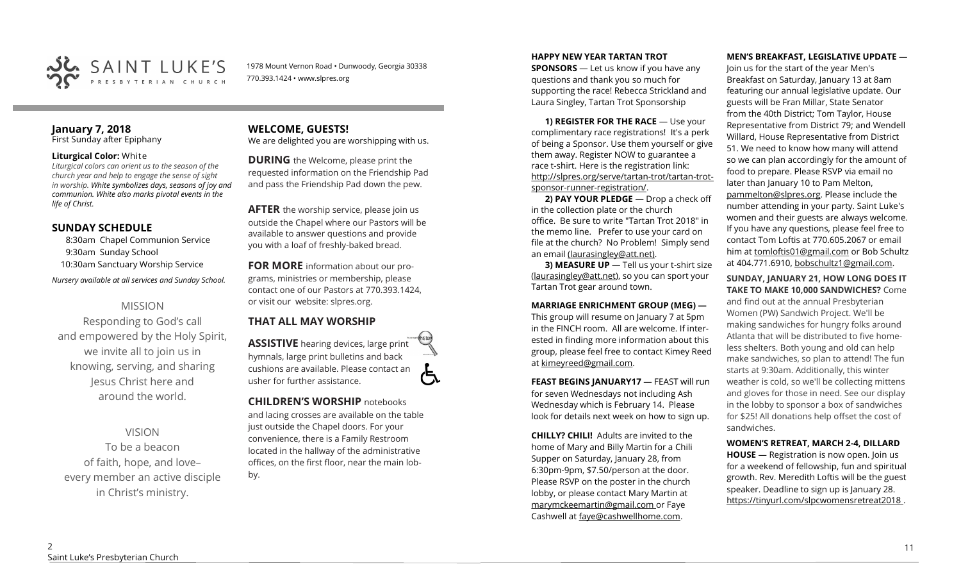

1978 Mount Vernon Road • Dunwoody, Georgia 30338 770.393.1424 • www.slpres.org

### **January 7, 2018**  First Sunday after Epiphany

### **Liturgical Color:** White

*Liturgical colors can orient us to the season of the church year and help to engage the sense of sight in worship. White symbolizes days, seasons of joy and communion. White also marks pivotal events in the life of Christ.* 

### **SUNDAY SCHEDULE**

8:30am Chapel Communion Service 9:30am Sunday School 10:30am Sanctuary Worship Service

*Nursery available at all services and Sunday School.* 

# MISSION

Responding to God's call and empowered by the Holy Spirit, we invite all to join us in knowing, serving, and sharing Jesus Christ here and around the world.

VISION

To be a beacon of faith, hope, and love– every member an active disciple in Christ's ministry.

### **WELCOME, GUESTS!**  We are delighted you are worshipping with us.

**DURING** the Welcome, please print the requested information on the Friendship Pad and pass the Friendship Pad down the pew.

**AFTER** the worship service, please join us outside the Chapel where our Pastors will be available to answer questions and provide you with a loaf of freshly-baked bread.

**FOR MORE** information about our programs, ministries or membership, please contact one of our Pastors at 770.393.1424, or visit our website: slpres.org.

# **THAT ALL MAY WORSHIP**

**ASSISTIVE** hearing devices, large print hymnals, large print bulletins and back cushions are available. Please contact an usher for further assistance.

**CHILDREN'S WORSHIP** notebooks and lacing crosses are available on the table just outside the Chapel doors. For your convenience, there is a Family Restroom located in the hallway of the administrative offices, on the first floor, near the main lobby.

### **HAPPY NEW YEAR TARTAN TROT**

**SPONSORS** — Let us know if you have any questions and thank you so much for supporting the race! Rebecca Strickland and Laura Singley, Tartan Trot Sponsorship

**1) REGISTER FOR THE RACE** — Use your complimentary race registrations! It's a perk of being a Sponsor. Use them yourself or give them away. Register NOW to guarantee a race t-shirt. Here is the registration link: [http://slpres.org/serve/tartan](http://slpres.org/serve/tartan-trot/tartan-trot-sponsor-runner-registration/)-trot/tartan-trotsponsor-runner-[registration/.](http://slpres.org/serve/tartan-trot/tartan-trot-sponsor-runner-registration/)

**2) PAY YOUR PLEDGE** — Drop a check off in the collection plate or the church office. Be sure to write "Tartan Trot 2018" in the memo line. Prefer to use your card on file at the church? No Problem! Simply send an email [\(laurasingley@att.net\).](mailto:laurasingley@att.net)

**3) MEASURE UP** — Tell us your t-shirt size [\(laurasingley@att.net\),](mailto:laurasingley@att.net) so you can sport your Tartan Trot gear around town.

**MARRIAGE ENRICHMENT GROUP (MEG) —** This group will resume on January 7 at 5pm in the FINCH room. All are welcome. If interested in finding more information about this group, please feel free to contact Kimey Reed at kimeyreed@gmail.com.

**FEAST BEGINS JANUARY17 - FEAST will run** for seven Wednesdays not including Ash Wednesday which is February 14. Please look for details next week on how to sign up.

**CHILLY? CHILI!** Adults are invited to the home of Mary and Billy Martin for a Chili Supper on Saturday, January 28, from 6:30pm-9pm, \$7.50/person at the door. Please RSVP on the poster in the church lobby, or please contact Mary Martin at marymckeemartin@gmail.com or Faye Cashwell at faye@cashwellhome.com.

### **MEN'S BREAKFAST, LEGISLATIVE UPDATE** —

Join us for the start of the year Men's Breakfast on Saturday, January 13 at 8am featuring our annual legislative update. Our guests will be Fran Millar, State Senator from the 40th District; Tom Taylor, House Representative from District 79; and Wendell Willard, House Representative from District 51. We need to know how many will attend so we can plan accordingly for the amount of food to prepare. Please RSVP via email no later than [January 10](x-apple-data-detectors://5) to Pam Melton, pammelton@slpres.org. Please include the number attending in your party. Saint Luke's women and their guests are always welcome. If you have any questions, please feel free to contact Tom Loftis at 770.605.2067 or email him at [tomloftis01@gmail.com](mailto:tomloftis01@gmail.com) or Bob Schultz at 404.771.6910, [bobschultz1@gmail.com.](mailto:bobschultz1@gmail.com)

**SUNDAY, JANUARY 21, HOW LONG DOES IT TAKE TO MAKE 10,000 SANDWICHES?** Come

and find out at the annual Presbyterian Women (PW) Sandwich Project. We'll be making sandwiches for hungry folks around Atlanta that will be distributed to five homeless shelters. Both young and old can help make sandwiches, so plan to attend! The fun starts at 9:30am. Additionally, this winter weather is cold, so we'll be collecting mittens and gloves for those in need. See our display in the lobby to sponsor a box of sandwiches for \$25! All donations help offset the cost of sandwiches.

### **WOMEN'S RETREAT, MARCH 2-4, DILLARD**

**HOUSE** — Registration is now open. Join us for a weekend of fellowship, fun and spiritual growth. Rev. Meredith Loftis will be the guest speaker. Deadline to sign up is January 28. https://tinyurl.com/slpcwomensretreat2018 .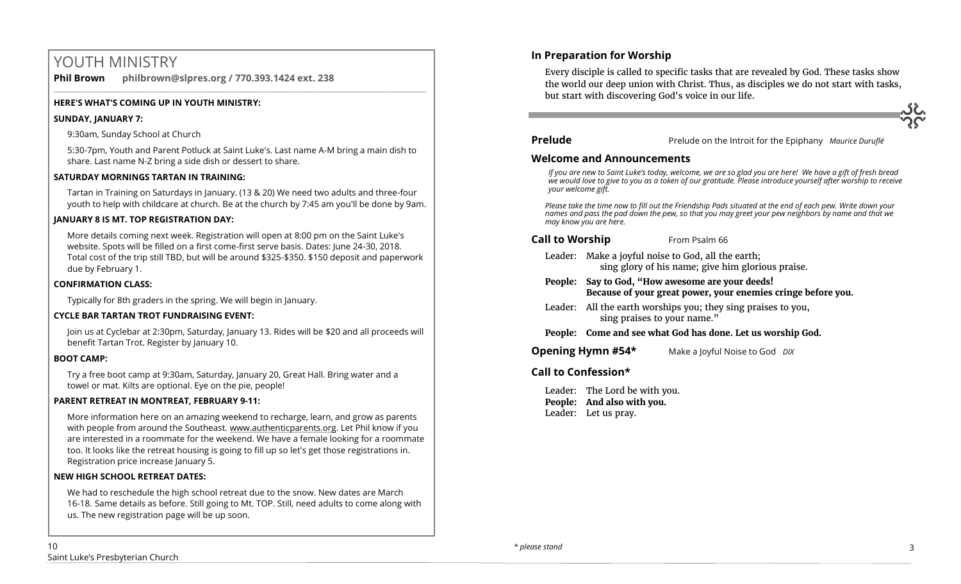# YOUTH MINISTRY

**Phil Brown philbrown@slpres.org / 770.393.1424 ext. 238** 

### **HERE'S WHAT'S COMING UP IN YOUTH MINISTRY:**

### **SUNDAY, JANUARY 7:**

9:30am, Sunday School at Church

5:30-7pm, Youth and Parent Potluck at Saint Luke's. Last name A-M bring a main dish to share. Last name N-Z bring a side dish or dessert to share.

 $\_$  ,  $\_$  ,  $\_$  ,  $\_$  ,  $\_$  ,  $\_$  ,  $\_$  ,  $\_$  ,  $\_$  ,  $\_$  ,  $\_$  ,  $\_$  ,  $\_$  ,  $\_$  ,  $\_$  ,  $\_$  ,  $\_$  ,  $\_$  ,  $\_$  ,  $\_$ 

### **SATURDAY MORNINGS TARTAN IN TRAINING:**

Tartan in Training on Saturdays in January. (13 & 20) We need two adults and three-four youth to help with childcare at church. Be at the church by 7:45 am you'll be done by 9am.

### **JANUARY 8 IS MT. TOP REGISTRATION DAY:**

More details coming next week. Registration will open at 8:00 pm on the Saint Luke's website. Spots will be filled on a first come-first serve basis. Dates: June 24-30, 2018. Total cost of the trip still TBD, but will be around \$325-\$350. \$150 deposit and paperwork due by February 1.

### **CONFIRMATION CLASS:**

Typically for 8th graders in the spring. We will begin in January.

### **CYCLE BAR TARTAN TROT FUNDRAISING EVENT:**

Join us at Cyclebar at 2:30pm, Saturday, January 13. Rides will be \$20 and all proceeds will benefit Tartan Trot. Register by January 10.

### **BOOT CAMP:**

Try a free boot camp at 9:30am, Saturday, January 20, Great Hall. Bring water and a towel or mat. Kilts are optional. Eye on the pie, people!

### **PARENT RETREAT IN MONTREAT, FEBRUARY 9-11:**

[More information here](https://www.authenticparents.org/) on an amazing weekend to recharge, learn, and grow as parents with people from around the Southeast. [www.authenticparents.org.](http://www.authenticparents.org/) Let Phil know if you are interested in a roommate for the weekend. We have a female looking for a roommate too. It looks like the retreat housing is going to fill up so let's get those registrations in. Registration price increase January 5.

### **NEW HIGH SCHOOL RETREAT DATES:**

We had to reschedule the high school retreat due to the snow. New dates are March 16-18. Same details as before. Still going to Mt. TOP. Still, need adults to come along with us. The new registration page will be up soon.

# **In Preparation for Worship**

Every disciple is called to specific tasks that are revealed by God. These tasks show the world our deep union with Christ. Thus, as disciples we do not start with tasks, but start with discovering God's voice in our life.

**Prelude** Prelude on the Introit for the Epiphany *Maurice Duruflé* 

### **Welcome and Announcements**

*If you are new to Saint Luke's today, welcome, we are so glad you are here! We have a gift of fresh bread we would love to give to you as a token of our gratitude. Please introduce yourself after worship to receive your welcome gift.*

*Please take the time now to fill out the Friendship Pads situated at the end of each pew. Write down your names and pass the pad down the pew, so that you may greet your pew neighbors by name and that we may know you are here.*

## **Call to Worship** From Psalm 66

- Leader: Make a joyful noise to God, all the earth; sing glory of his name; give him glorious praise.
- **People: Say to God, "How awesome are your deeds! Because of your great power, your enemies cringe before you.**
- Leader: All the earth worships you; they sing praises to you, sing praises to your name."
- **People: Come and see what God has done. Let us worship God.**

**Opening Hymn #54\*** Make a Joyful Noise to God *DIX* 

### **Call to Confession\***

Leader: The Lord be with you. **People: And also with you.** Leader: Let us pray.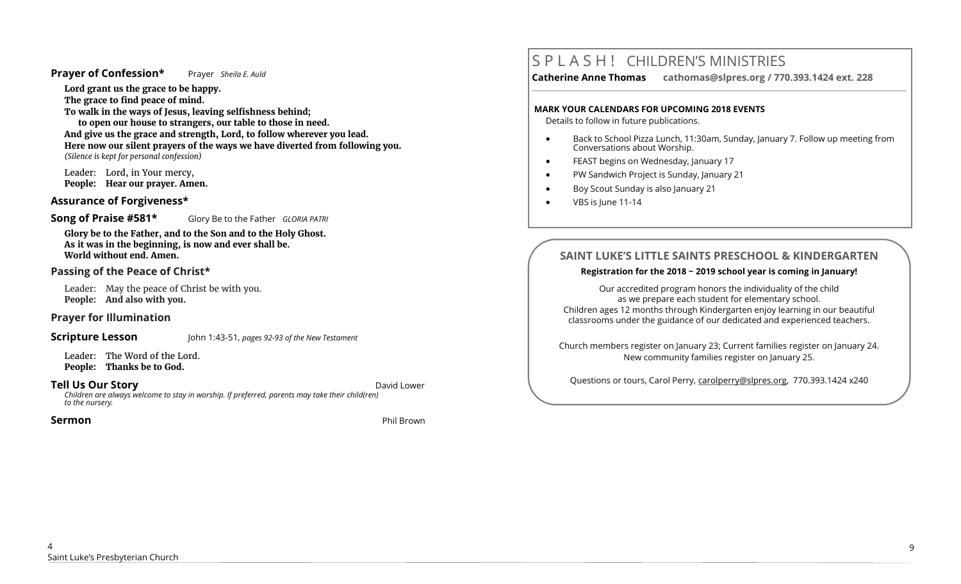### **Prayer of Confession\*** Prayer *Sheila E. Auld*

**Lord grant us the grace to be happy. The grace to find peace of mind.** 

**To walk in the ways of Jesus, leaving selfishness behind;** 

**to open our house to strangers, our table to those in need. And give us the grace and strength, Lord, to follow wherever you lead. Here now our silent prayers of the ways we have diverted from following you.** *(Silence is kept for personal confession)* 

Leader: Lord, in Your mercy, **People: Hear our prayer. Amen.**

## **Assurance of Forgiveness\***

**Song of Praise #581\*** Glory Be to the Father *GLORIA PATRI*

**Glory be to the Father, and to the Son and to the Holy Ghost. As it was in the beginning, is now and ever shall be. World without end. Amen.** 

### **Passing of the Peace of Christ\***

Leader: May the peace of Christ be with you. **People: And also with you.**

# **Prayer for Illumination**

**Scripture Lesson** John 1:43-51, *pages 92-93 of the New Testament*

Leader: The Word of the Lord. **People: Thanks be to God.**

**Tell Us Our Story David Lower** *David Lower**David Lower**David Lower Children are always welcome to stay in worship. If preferred, parents may take their child(ren) to the nursery.*

**Sermon** Phil Brown

# S P L A S H ! CHILDREN'S MINISTRIES

**Catherine Anne Thomas cathomas@slpres.org / 770.393.1424 ext. 228** 

### **MARK YOUR CALENDARS FOR UPCOMING 2018 EVENTS**

Details to follow in future publications.

 Back to School Pizza Lunch, 11:30am, Sunday, January 7. Follow up meeting from Conversations about Worship.

**\_\_\_\_\_\_\_\_\_\_\_\_\_\_\_\_\_\_\_\_\_\_\_\_\_\_\_\_\_\_\_\_\_\_\_\_\_\_\_\_\_\_\_\_\_\_\_\_\_\_\_\_\_\_\_\_\_\_\_\_\_\_\_\_\_\_\_\_\_\_\_\_\_\_\_\_\_\_\_\_\_\_\_\_\_\_\_\_\_\_\_\_\_\_\_\_\_\_\_\_\_\_\_\_\_\_** 

- **•** FEAST begins on Wednesday, January 17
- PW Sandwich Project is Sunday, January 21
- Boy Scout Sunday is also January 21
- VBS is June 11-14

# **SAINT LUKE'S LITTLE SAINTS PRESCHOOL & KINDERGARTEN**

### **Registration for the 2018 ~ 2019 school year is coming in January!**

Our accredited program honors the individuality of the child as we prepare each student for elementary school. Children ages 12 months through Kindergarten enjoy learning in our beautiful classrooms under the guidance of our dedicated and experienced teachers.

Church members register on January 23; Current families register on January 24. New community families register on January 25.

Questions or tours, Carol Perry, carolperry@slpres.org, 770.393.1424 x240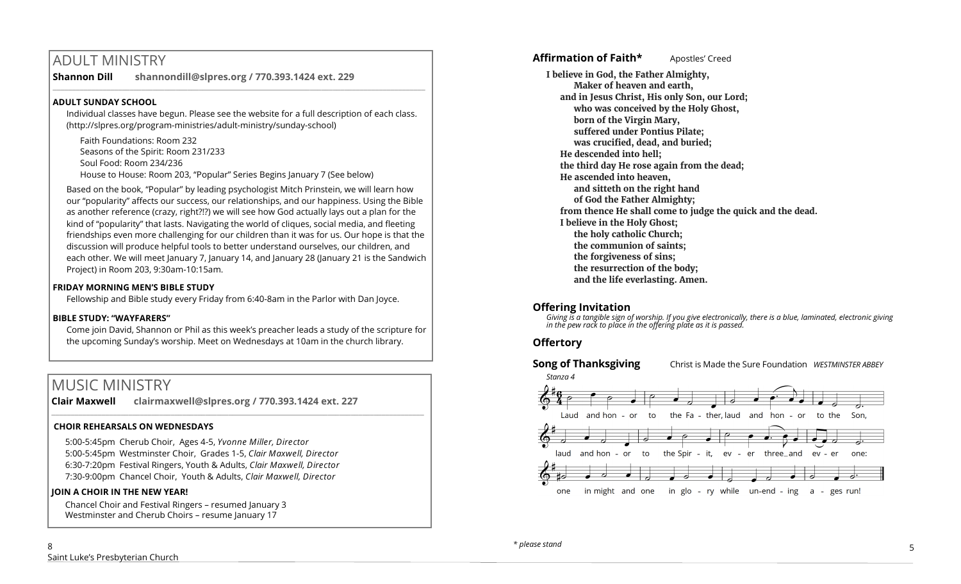# ADULT MINISTRY

**Shannon Dill shannondill@slpres.org / 770.393.1424 ext. 229** 

## **ADULT SUNDAY SCHOOL**

Individual classes have begun. Please see the website for a full description of each class. (http://slpres.org/program-ministries/adult-ministry/sunday-school)

 $\_$  ,  $\_$  ,  $\_$  ,  $\_$  ,  $\_$  ,  $\_$  ,  $\_$  ,  $\_$  ,  $\_$  ,  $\_$  ,  $\_$  ,  $\_$  ,  $\_$  ,  $\_$  ,  $\_$  ,  $\_$  ,  $\_$  ,  $\_$  ,  $\_$  ,  $\_$ 

Faith Foundations: Room 232 Seasons of the Spirit: Room 231/233 Soul Food: Room 234/236 House to House: Room 203, "Popular" Series Begins January 7 (See below)

Based on the book, "Popular" by leading psychologist Mitch Prinstein, we will learn how our "popularity" affects our success, our relationships, and our happiness. Using the Bible as another reference (crazy, right?!?) we will see how God actually lays out a plan for the kind of "popularity" that lasts. Navigating the world of cliques, social media, and fleeting friendships even more challenging for our children than it was for us. Our hope is that the discussion will produce helpful tools to better understand ourselves, our children, and each other. We will meet January 7, January 14, and January 28 (January 21 is the Sandwich Project) in Room 203, 9:30am-10:15am.

## **FRIDAY MORNING MEN'S BIBLE STUDY**

Fellowship and Bible study every Friday from 6:40-8am in the Parlor with Dan Joyce.

## **BIBLE STUDY: "WAYFARERS"**

Come join David, Shannon or Phil as this week's preacher leads a study of the scripture for the upcoming Sunday's worship. Meet on Wednesdays at 10am in the church library.

# MUSIC MINISTRY

**Clair Maxwell clairmaxwell@slpres.org / 770.393.1424 ext. 227**   $\_$  ,  $\_$  ,  $\_$  ,  $\_$  ,  $\_$  ,  $\_$  ,  $\_$  ,  $\_$  ,  $\_$  ,  $\_$  ,  $\_$  ,  $\_$  ,  $\_$  ,  $\_$  ,  $\_$  ,  $\_$  ,  $\_$  ,  $\_$  ,  $\_$ 

# **CHOIR REHEARSALS ON WEDNESDAYS**

5:00-5:45pm Cherub Choir, Ages 4-5, *Yvonne Miller, Director*  5:00-5:45pm Westminster Choir, Grades 1-5, *Clair Maxwell, Director*  6:30-7:20pm Festival Ringers, Youth & Adults, *Clair Maxwell, Director*  7:30-9:00pm Chancel Choir, Youth & Adults, *Clair Maxwell, Director* 

## **JOIN A CHOIR IN THE NEW YEAR!**

Chancel Choir and Festival Ringers – resumed January 3 Westminster and Cherub Choirs - resume January 17

**Affirmation of Faith\*** Apostles' Creed

**I believe in God, the Father Almighty, Maker of heaven and earth, and in Jesus Christ, His only Son, our Lord; who was conceived by the Holy Ghost, born of the Virgin Mary, suffered under Pontius Pilate; was crucified, dead, and buried; He descended into hell; the third day He rose again from the dead; He ascended into heaven, and sitteth on the right hand of God the Father Almighty; from thence He shall come to judge the quick and the dead. I believe in the Holy Ghost; the holy catholic Church; the communion of saints; the forgiveness of sins; the resurrection of the body; and the life everlasting. Amen.**

# **Offering Invitation**

*Giving is a tangible sign of worship. If you give electronically, there is a blue, laminated, electronic giving in the pew rack to place in the offering plate as it is passed.*

# **Offertory**



**Song of Thanksgiving** Christ is Made the Sure Foundation *WESTMINSTER ABBEY*